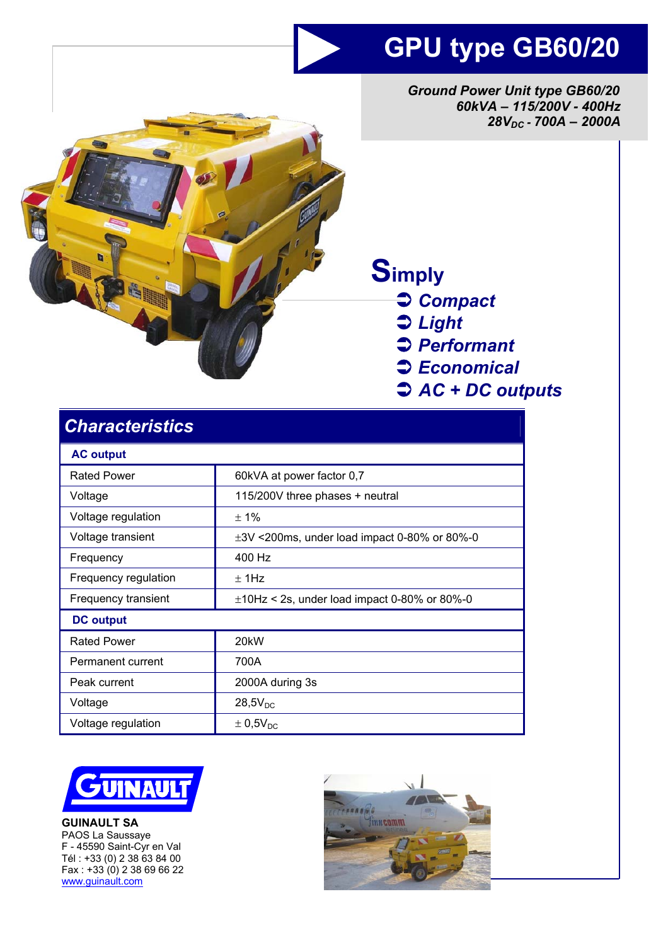## **GPU type GB60/20**

*Ground Power Unit type GB60/20 60kVA – 115/200V - 400Hz 28VDC - 700A – 2000A* 



# **Simply**

- Â *Compact*
- Â *Light*
- Â *Performant*
- Â *Economical*
- Â *AC + DC outputs*

| <b>Characteristics</b> |                                                   |
|------------------------|---------------------------------------------------|
| <b>AC output</b>       |                                                   |
| <b>Rated Power</b>     | 60kVA at power factor 0,7                         |
| Voltage                | 115/200V three phases + neutral                   |
| Voltage regulation     | ± 1%                                              |
| Voltage transient      | $\pm 3V$ <200ms, under load impact 0-80% or 80%-0 |
| Frequency              | 400 Hz                                            |
| Frequency regulation   | $\pm$ 1Hz                                         |
| Frequency transient    | $\pm$ 10Hz < 2s, under load impact 0-80% or 80%-0 |
| <b>DC</b> output       |                                                   |
| <b>Rated Power</b>     | 20 <sub>k</sub> W                                 |
| Permanent current      | 700A                                              |
| Peak current           | 2000A during 3s                                   |
| Voltage                | $28,5V_{DC}$                                      |
| Voltage regulation     | $\pm$ 0,5V <sub>DC</sub>                          |



**GUINAULT SA**  PAOS La Saussaye F - 45590 Saint-Cyr en Val Tél : +33 (0) 2 38 63 84 00 Fax : +33 (0) 2 38 69 66 22 www.guinault.com